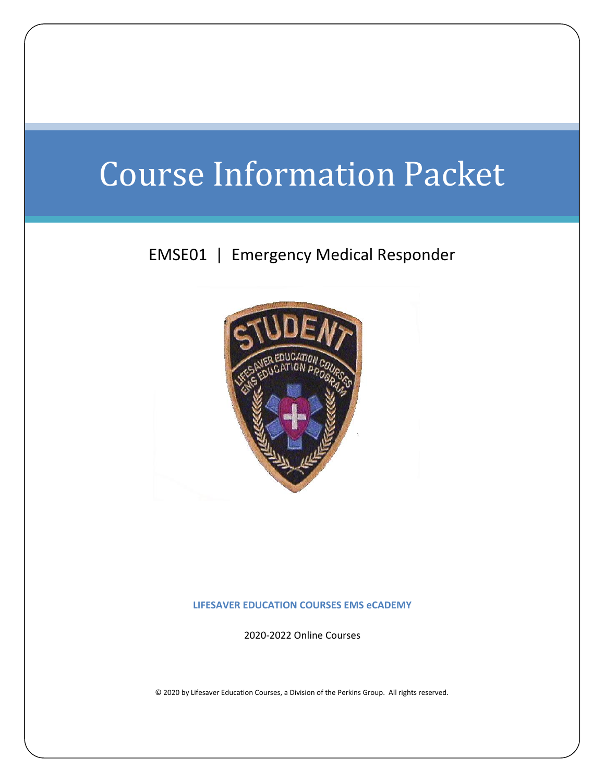# Course Information Packet

## EMSE01 | Emergency Medical Responder



**LIFESAVER EDUCATION COURSES EMS eCADEMY**

2020-2022 Online Courses

© 2020 by Lifesaver Education Courses, a Division of the Perkins Group. All rights reserved.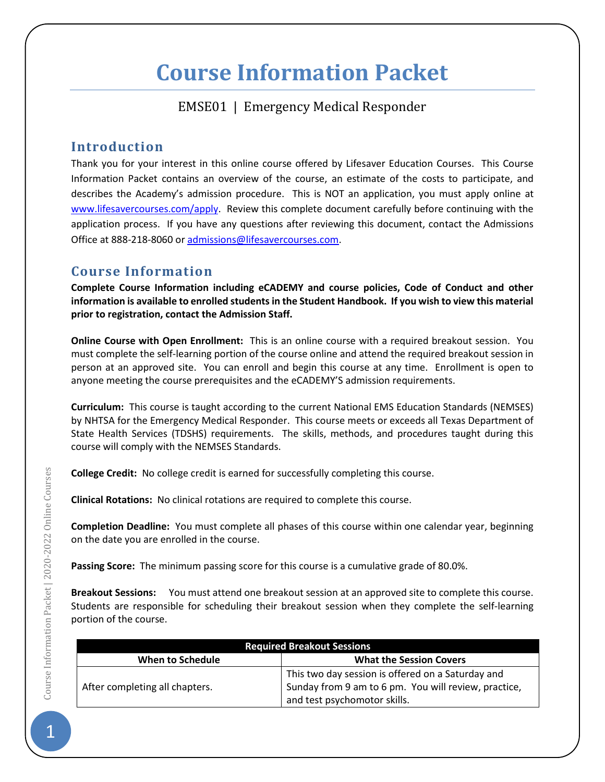## **Course Information Packet**

## EMSE01 | Emergency Medical Responder

### **Introduction**

Thank you for your interest in this online course offered by Lifesaver Education Courses. This Course Information Packet contains an overview of the course, an estimate of the costs to participate, and describes the Academy's admission procedure. This is NOT an application, you must apply online at [www.lifesavercourses.com/](http://www.lifesavercourses.com/)apply. Review this complete document carefully before continuing with the application process. If you have any questions after reviewing this document, contact the Admissions Office at 888-218-8060 o[r admissions@lifesavercourses.com.](mailto:admissions@lifesavercourses.com)

## **Course Information**

**Complete Course Information including eCADEMY and course policies, Code of Conduct and other information is available to enrolled students in the Student Handbook. If you wish to view this material prior to registration, contact the Admission Staff.**

**Online Course with Open Enrollment:** This is an online course with a required breakout session. You must complete the self-learning portion of the course online and attend the required breakout session in person at an approved site. You can enroll and begin this course at any time. Enrollment is open to anyone meeting the course prerequisites and the eCADEMY'S admission requirements.

**Curriculum:** This course is taught according to the current National EMS Education Standards (NEMSES) by NHTSA for the Emergency Medical Responder. This course meets or exceeds all Texas Department of State Health Services (TDSHS) requirements. The skills, methods, and procedures taught during this course will comply with the NEMSES Standards.

**College Credit:** No college credit is earned for successfully completing this course.

**Clinical Rotations:** No clinical rotations are required to complete this course.

**Completion Deadline:** You must complete all phases of this course within one calendar year, beginning on the date you are enrolled in the course.

**Passing Score:** The minimum passing score for this course is a cumulative grade of 80.0%.

**Breakout Sessions:** You must attend one breakout session at an approved site to complete this course. Students are responsible for scheduling their breakout session when they complete the self-learning portion of the course.

| <b>Required Breakout Sessions</b> |                                                      |  |  |
|-----------------------------------|------------------------------------------------------|--|--|
| When to Schedule                  | <b>What the Session Covers</b>                       |  |  |
| After completing all chapters.    | This two day session is offered on a Saturday and    |  |  |
|                                   | Sunday from 9 am to 6 pm. You will review, practice, |  |  |
|                                   | and test psychomotor skills.                         |  |  |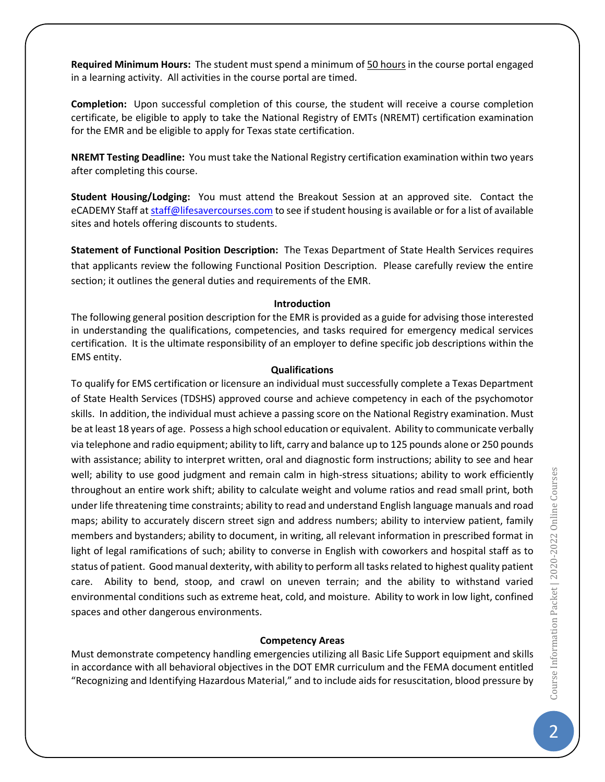**Required Minimum Hours:** The student must spend a minimum of 50 hours in the course portal engaged in a learning activity. All activities in the course portal are timed.

**Completion:** Upon successful completion of this course, the student will receive a course completion certificate, be eligible to apply to take the National Registry of EMTs (NREMT) certification examination for the EMR and be eligible to apply for Texas state certification.

**NREMT Testing Deadline:** You must take the National Registry certification examination within two years after completing this course.

**Student Housing/Lodging:** You must attend the Breakout Session at an approved site. Contact the eCADEMY Staff a[t staff@lifesavercourses.com](mailto:staff@lifesavercourses.com) to see if student housing is available or for a list of available sites and hotels offering discounts to students.

**Statement of Functional Position Description:** The Texas Department of State Health Services requires that applicants review the following Functional Position Description. Please carefully review the entire section; it outlines the general duties and requirements of the EMR.

#### **Introduction**

The following general position description for the EMR is provided as a guide for advising those interested in understanding the qualifications, competencies, and tasks required for emergency medical services certification. It is the ultimate responsibility of an employer to define specific job descriptions within the EMS entity.

#### **Qualifications**

To qualify for EMS certification or licensure an individual must successfully complete a Texas Department of State Health Services (TDSHS) approved course and achieve competency in each of the psychomotor skills. In addition, the individual must achieve a passing score on the National Registry examination. Must be at least 18 years of age. Possess a high school education or equivalent. Ability to communicate verbally via telephone and radio equipment; ability to lift, carry and balance up to 125 pounds alone or 250 pounds with assistance; ability to interpret written, oral and diagnostic form instructions; ability to see and hear well; ability to use good judgment and remain calm in high-stress situations; ability to work efficiently throughout an entire work shift; ability to calculate weight and volume ratios and read small print, both under life threatening time constraints; ability to read and understand English language manuals and road maps; ability to accurately discern street sign and address numbers; ability to interview patient, family members and bystanders; ability to document, in writing, all relevant information in prescribed format in light of legal ramifications of such; ability to converse in English with coworkers and hospital staff as to status of patient. Good manual dexterity, with ability to perform all tasks related to highest quality patient care. Ability to bend, stoop, and crawl on uneven terrain; and the ability to withstand varied environmental conditions such as extreme heat, cold, and moisture. Ability to work in low light, confined spaces and other dangerous environments.

#### **Competency Areas**

Must demonstrate competency handling emergencies utilizing all Basic Life Support equipment and skills in accordance with all behavioral objectives in the DOT EMR curriculum and the FEMA document entitled "Recognizing and Identifying Hazardous Material," and to include aids for resuscitation, blood pressure by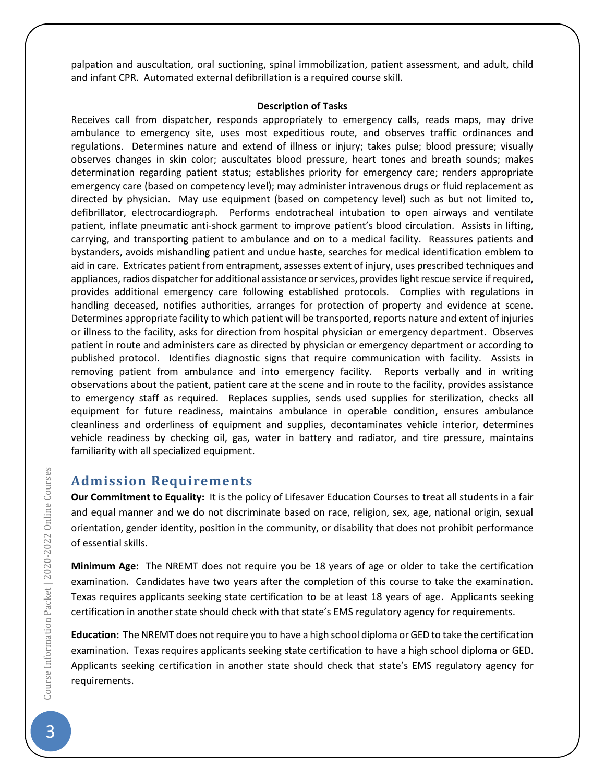palpation and auscultation, oral suctioning, spinal immobilization, patient assessment, and adult, child and infant CPR. Automated external defibrillation is a required course skill.

#### **Description of Tasks**

Receives call from dispatcher, responds appropriately to emergency calls, reads maps, may drive ambulance to emergency site, uses most expeditious route, and observes traffic ordinances and regulations. Determines nature and extend of illness or injury; takes pulse; blood pressure; visually observes changes in skin color; auscultates blood pressure, heart tones and breath sounds; makes determination regarding patient status; establishes priority for emergency care; renders appropriate emergency care (based on competency level); may administer intravenous drugs or fluid replacement as directed by physician. May use equipment (based on competency level) such as but not limited to, defibrillator, electrocardiograph. Performs endotracheal intubation to open airways and ventilate patient, inflate pneumatic anti-shock garment to improve patient's blood circulation. Assists in lifting, carrying, and transporting patient to ambulance and on to a medical facility. Reassures patients and bystanders, avoids mishandling patient and undue haste, searches for medical identification emblem to aid in care. Extricates patient from entrapment, assesses extent of injury, uses prescribed techniques and appliances, radios dispatcher for additional assistance or services, provides light rescue service if required, provides additional emergency care following established protocols. Complies with regulations in handling deceased, notifies authorities, arranges for protection of property and evidence at scene. Determines appropriate facility to which patient will be transported, reports nature and extent of injuries or illness to the facility, asks for direction from hospital physician or emergency department. Observes patient in route and administers care as directed by physician or emergency department or according to published protocol. Identifies diagnostic signs that require communication with facility. Assists in removing patient from ambulance and into emergency facility. Reports verbally and in writing observations about the patient, patient care at the scene and in route to the facility, provides assistance to emergency staff as required. Replaces supplies, sends used supplies for sterilization, checks all equipment for future readiness, maintains ambulance in operable condition, ensures ambulance cleanliness and orderliness of equipment and supplies, decontaminates vehicle interior, determines vehicle readiness by checking oil, gas, water in battery and radiator, and tire pressure, maintains familiarity with all specialized equipment.

#### **Admission Requirements**

**Our Commitment to Equality:** It is the policy of Lifesaver Education Courses to treat all students in a fair and equal manner and we do not discriminate based on race, religion, sex, age, national origin, sexual orientation, gender identity, position in the community, or disability that does not prohibit performance of essential skills.

**Minimum Age:** The NREMT does not require you be 18 years of age or older to take the certification examination. Candidates have two years after the completion of this course to take the examination. Texas requires applicants seeking state certification to be at least 18 years of age. Applicants seeking certification in another state should check with that state's EMS regulatory agency for requirements.

**Education:** The NREMT does not require you to have a high school diploma or GED to take the certification examination. Texas requires applicants seeking state certification to have a high school diploma or GED. Applicants seeking certification in another state should check that state's EMS regulatory agency for requirements.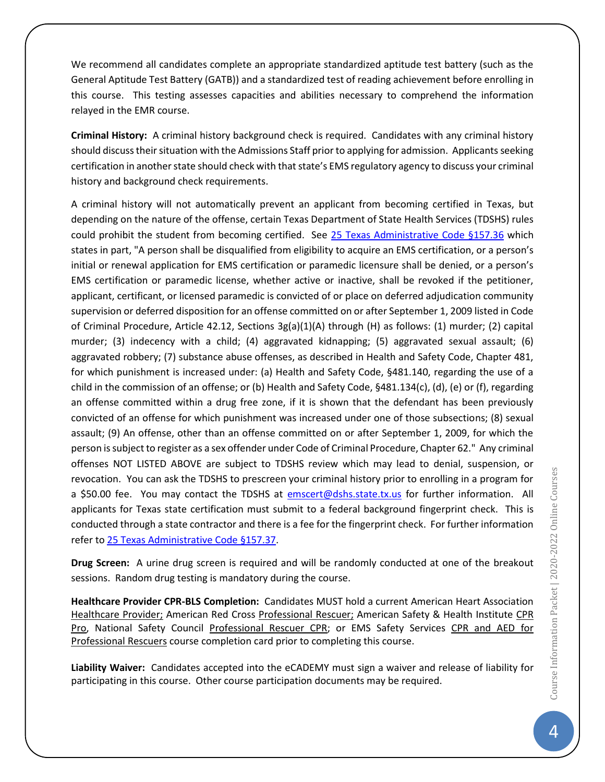We recommend all candidates complete an appropriate standardized aptitude test battery (such as the General Aptitude Test Battery (GATB)) and a standardized test of reading achievement before enrolling in this course. This testing assesses capacities and abilities necessary to comprehend the information relayed in the EMR course.

**Criminal History:** A criminal history background check is required. Candidates with any criminal history should discuss their situation with the Admissions Staff prior to applying for admission. Applicants seeking certification in another state should check with that state's EMS regulatory agency to discuss your criminal history and background check requirements.

A criminal history will not automatically prevent an applicant from becoming certified in Texas, but depending on the nature of the offense, certain Texas Department of State Health Services (TDSHS) rules could prohibit the student from becoming certified. See [25 Texas Administrative Code §157.36](http://info.sos.state.tx.us/pls/pub/readtac$ext.TacPage?sl=R&app=9&p_dir=&p_rloc=&p_tloc=&p_ploc=&pg=1&p_tac=&ti=25&pt=1&ch=157&rl=36) which states in part, "A person shall be disqualified from eligibility to acquire an EMS certification, or a person's initial or renewal application for EMS certification or paramedic licensure shall be denied, or a person's EMS certification or paramedic license, whether active or inactive, shall be revoked if the petitioner, applicant, certificant, or licensed paramedic is convicted of or place on deferred adjudication community supervision or deferred disposition for an offense committed on or after September 1, 2009 listed in Code of Criminal Procedure, Article 42.12, Sections 3g(a)(1)(A) through (H) as follows: (1) murder; (2) capital murder; (3) indecency with a child; (4) aggravated kidnapping; (5) aggravated sexual assault; (6) aggravated robbery; (7) substance abuse offenses, as described in Health and Safety Code, Chapter 481, for which punishment is increased under: (a) Health and Safety Code, §481.140, regarding the use of a child in the commission of an offense; or (b) Health and Safety Code, §481.134(c), (d), (e) or (f), regarding an offense committed within a drug free zone, if it is shown that the defendant has been previously convicted of an offense for which punishment was increased under one of those subsections; (8) sexual assault; (9) An offense, other than an offense committed on or after September 1, 2009, for which the person is subject to register as a sex offender under Code of Criminal Procedure, Chapter 62." Any criminal offenses NOT LISTED ABOVE are subject to TDSHS review which may lead to denial, suspension, or revocation. You can ask the TDSHS to prescreen your criminal history prior to enrolling in a program for a \$50.00 fee. You may contact the TDSHS at [emscert@dshs.state.tx.us](file:///C:/Users/P/Documents/TPGOC/LEC/EMS%20Education%20Program/EMS%20eCADEMY/ECA%20Course/emscert@dshs.state.tx.us) for further information. All applicants for Texas state certification must submit to a federal background fingerprint check. This is conducted through a state contractor and there is a fee for the fingerprint check. For further information refer t[o 25 Texas Administrative Code](http://info.sos.state.tx.us/pls/pub/readtac$ext.TacPage?sl=R&app=9&p_dir=&p_rloc=&p_tloc=&p_ploc=&pg=1&p_tac=&ti=25&pt=1&ch=157&rl=37) §157.37.

**Drug Screen:** A urine drug screen is required and will be randomly conducted at one of the breakout sessions. Random drug testing is mandatory during the course.

**Healthcare Provider CPR-BLS Completion:** Candidates MUST hold a current American Heart Association Healthcare Provider; American Red Cross Professional Rescuer; American Safety & Health Institute CPR Pro, National Safety Council Professional Rescuer CPR; or EMS Safety Services CPR and AED for Professional Rescuers course completion card prior to completing this course.

**Liability Waiver:** Candidates accepted into the eCADEMY must sign a waiver and release of liability for participating in this course. Other course participation documents may be required.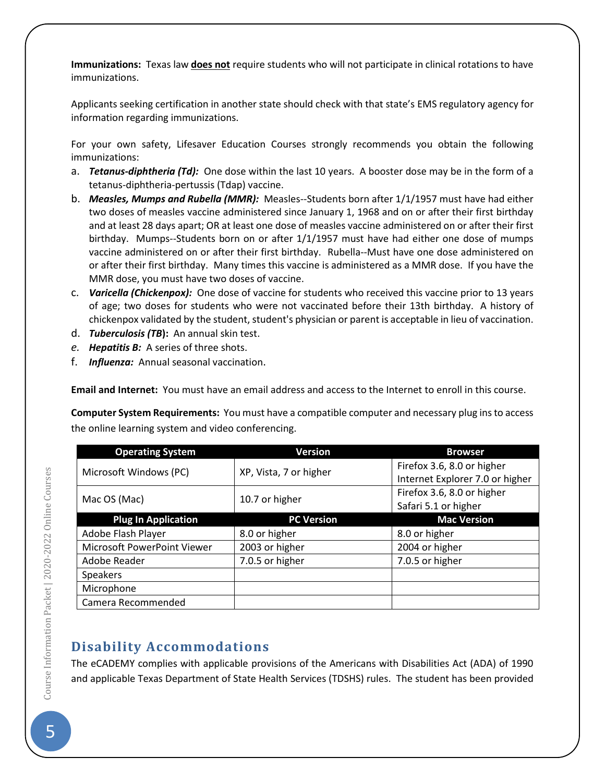**Immunizations:** Texas law **does not** require students who will not participate in clinical rotations to have immunizations.

Applicants seeking certification in another state should check with that state's EMS regulatory agency for information regarding immunizations.

For your own safety, Lifesaver Education Courses strongly recommends you obtain the following immunizations:

- a. *Tetanus-diphtheria (Td):* One dose within the last 10 years. A booster dose may be in the form of a tetanus-diphtheria-pertussis (Tdap) vaccine.
- b. *Measles, Mumps and Rubella (MMR):* Measles--Students born after 1/1/1957 must have had either two doses of measles vaccine administered since January 1, 1968 and on or after their first birthday and at least 28 days apart; OR at least one dose of measles vaccine administered on or after their first birthday. Mumps--Students born on or after 1/1/1957 must have had either one dose of mumps vaccine administered on or after their first birthday. Rubella--Must have one dose administered on or after their first birthday. Many times this vaccine is administered as a MMR dose. If you have the MMR dose, you must have two doses of vaccine.
- c. *Varicella (Chickenpox):* One dose of vaccine for students who received this vaccine prior to 13 years of age; two doses for students who were not vaccinated before their 13th birthday. A history of chickenpox validated by the student, student's physician or parent is acceptable in lieu of vaccination.
- d. *Tuberculosis (TB***):** An annual skin test.
- *e. Hepatitis B:* A series of three shots.
- f. *Influenza:* Annual seasonal vaccination.

**Email and Internet:** You must have an email address and access to the Internet to enroll in this course.

**Computer System Requirements:** You must have a compatible computer and necessary plug ins to access the online learning system and video conferencing.

| <b>Operating System</b>     | <b>Version</b>         | <b>Browser</b>                  |  |
|-----------------------------|------------------------|---------------------------------|--|
| Microsoft Windows (PC)      | XP, Vista, 7 or higher | Firefox 3.6, 8.0 or higher      |  |
|                             |                        | Internet Explorer 7.0 or higher |  |
| Mac OS (Mac)                | 10.7 or higher         | Firefox 3.6, 8.0 or higher      |  |
|                             |                        | Safari 5.1 or higher            |  |
| <b>Plug In Application</b>  | <b>PC Version</b>      | <b>Mac Version</b>              |  |
| Adobe Flash Player          | 8.0 or higher          | 8.0 or higher                   |  |
| Microsoft PowerPoint Viewer | 2003 or higher         | 2004 or higher                  |  |
| Adobe Reader                | 7.0.5 or higher        | 7.0.5 or higher                 |  |
| <b>Speakers</b>             |                        |                                 |  |
| Microphone                  |                        |                                 |  |
| Camera Recommended          |                        |                                 |  |

## **Disability Accommodations**

The eCADEMY complies with applicable provisions of the Americans with Disabilities Act (ADA) of 1990 and applicable Texas Department of State Health Services (TDSHS) rules. The student has been provided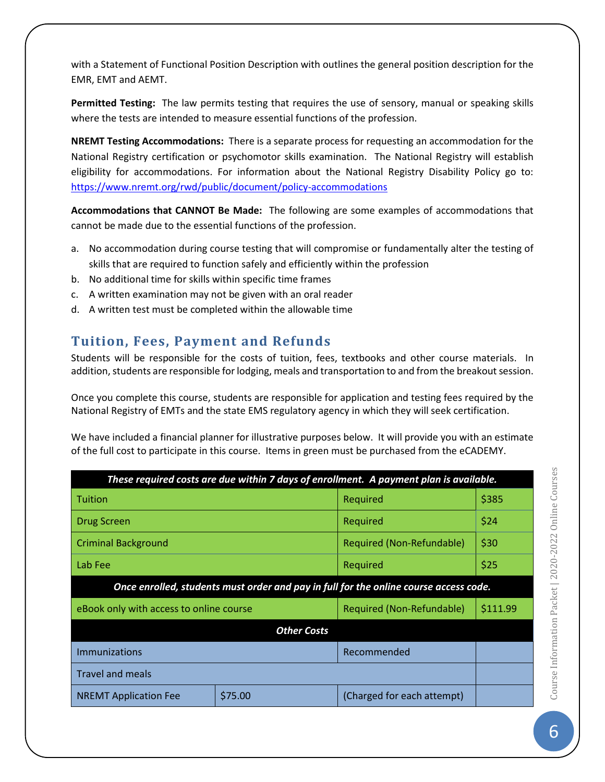with a Statement of Functional Position Description with outlines the general position description for the EMR, EMT and AEMT.

**Permitted Testing:** The law permits testing that requires the use of sensory, manual or speaking skills where the tests are intended to measure essential functions of the profession.

**NREMT Testing Accommodations:** There is a separate process for requesting an accommodation for the National Registry certification or psychomotor skills examination. The National Registry will establish eligibility for accommodations. For information about the National Registry Disability Policy go to: <https://www.nremt.org/rwd/public/document/policy-accommodations>

**Accommodations that CANNOT Be Made:** The following are some examples of accommodations that cannot be made due to the essential functions of the profession.

- a. No accommodation during course testing that will compromise or fundamentally alter the testing of skills that are required to function safely and efficiently within the profession
- b. No additional time for skills within specific time frames
- c. A written examination may not be given with an oral reader
- d. A written test must be completed within the allowable time

## **Tuition, Fees, Payment and Refunds**

Students will be responsible for the costs of tuition, fees, textbooks and other course materials. In addition, students are responsible for lodging, meals and transportation to and from the breakout session.

Once you complete this course, students are responsible for application and testing fees required by the National Registry of EMTs and the state EMS regulatory agency in which they will seek certification.

We have included a financial planner for illustrative purposes below. It will provide you with an estimate of the full cost to participate in this course. Items in green must be purchased from the eCADEMY.

| These required costs are due within 7 days of enrollment. A payment plan is available. |         |                            |          |  |
|----------------------------------------------------------------------------------------|---------|----------------------------|----------|--|
| l Tuition                                                                              |         | Required                   | \$385    |  |
| Drug Screen                                                                            |         | Required                   | \$24     |  |
| <b>Criminal Background</b>                                                             |         | Required (Non-Refundable)  | \$30     |  |
| Lab Fee                                                                                |         | Required                   | \$25     |  |
| Once enrolled, students must order and pay in full for the online course access code.  |         |                            |          |  |
| eBook only with access to online course                                                |         | Required (Non-Refundable)  | \$111.99 |  |
| <b>Other Costs</b>                                                                     |         |                            |          |  |
| Immunizations                                                                          |         | Recommended                |          |  |
| <b>Travel and meals</b>                                                                |         |                            |          |  |
| <b>NREMT Application Fee</b>                                                           | \$75.00 | (Charged for each attempt) |          |  |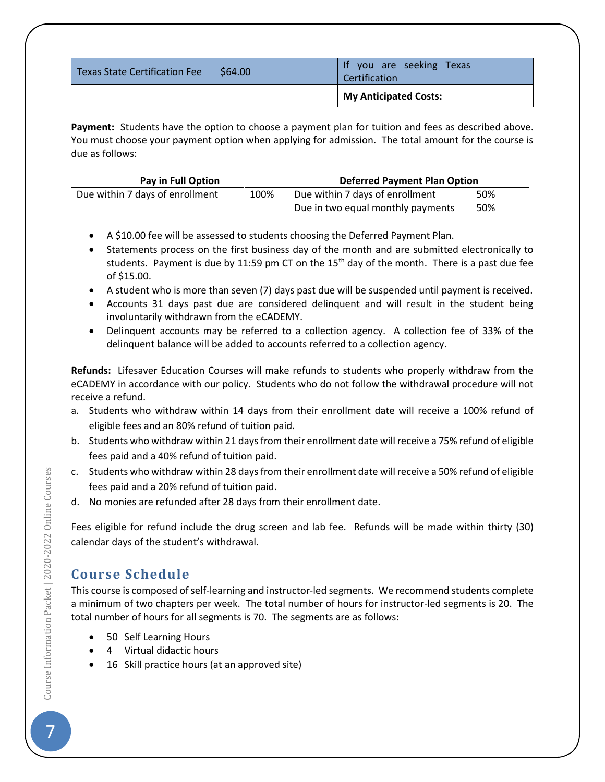| Texas State Certification Fee | \$64.00 | you are seeking Texas<br>Certification |  |
|-------------------------------|---------|----------------------------------------|--|
|                               |         | My Anticipated Costs:                  |  |

**Payment:** Students have the option to choose a payment plan for tuition and fees as described above. You must choose your payment option when applying for admission. The total amount for the course is due as follows:

| Pay in Full Option              |      | <b>Deferred Payment Plan Option</b> |     |
|---------------------------------|------|-------------------------------------|-----|
| Due within 7 days of enrollment | 100% | Due within 7 days of enrollment     | 50% |
|                                 |      | Due in two equal monthly payments   | 50% |

- A \$10.00 fee will be assessed to students choosing the Deferred Payment Plan.
- Statements process on the first business day of the month and are submitted electronically to students. Payment is due by 11:59 pm CT on the  $15<sup>th</sup>$  day of the month. There is a past due fee of \$15.00.
- A student who is more than seven (7) days past due will be suspended until payment is received.
- Accounts 31 days past due are considered delinquent and will result in the student being involuntarily withdrawn from the eCADEMY.
- Delinquent accounts may be referred to a collection agency. A collection fee of 33% of the delinquent balance will be added to accounts referred to a collection agency.

**Refunds:** Lifesaver Education Courses will make refunds to students who properly withdraw from the eCADEMY in accordance with our policy. Students who do not follow the withdrawal procedure will not receive a refund.

- a. Students who withdraw within 14 days from their enrollment date will receive a 100% refund of eligible fees and an 80% refund of tuition paid.
- b. Students who withdraw within 21 daysfrom their enrollment date will receive a 75% refund of eligible fees paid and a 40% refund of tuition paid.
- c. Students who withdraw within 28 days from their enrollment date will receive a 50% refund of eligible fees paid and a 20% refund of tuition paid.
- d. No monies are refunded after 28 days from their enrollment date.

Fees eligible for refund include the drug screen and lab fee. Refunds will be made within thirty (30) calendar days of the student's withdrawal.

## **Course Schedule**

This course is composed of self-learning and instructor-led segments. We recommend students complete a minimum of two chapters per week. The total number of hours for instructor-led segments is 20. The total number of hours for all segments is 70. The segments are as follows:

- 50 Self Learning Hours
- 4 Virtual didactic hours
- 16 Skill practice hours (at an approved site)